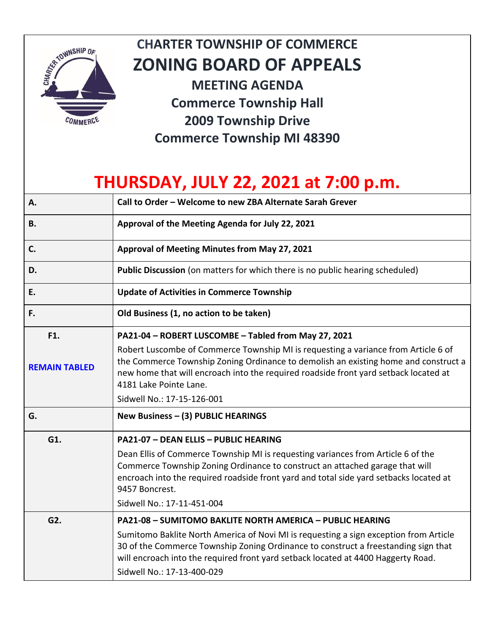

## **CHARTER TOWNSHIP OF COMMERCE ZONING BOARD OF APPEALS**

**MEETING AGENDA Commerce Township Hall 2009 Township Drive Commerce Township MI 48390**

## **THURSDAY, JULY 22, 2021 at 7:00 p.m.**

| Α.                   | Call to Order - Welcome to new ZBA Alternate Sarah Grever                                                                                                                                                                                                                                                  |
|----------------------|------------------------------------------------------------------------------------------------------------------------------------------------------------------------------------------------------------------------------------------------------------------------------------------------------------|
| <b>B.</b>            | Approval of the Meeting Agenda for July 22, 2021                                                                                                                                                                                                                                                           |
| C.                   | Approval of Meeting Minutes from May 27, 2021                                                                                                                                                                                                                                                              |
| D.                   | Public Discussion (on matters for which there is no public hearing scheduled)                                                                                                                                                                                                                              |
| E.                   | <b>Update of Activities in Commerce Township</b>                                                                                                                                                                                                                                                           |
| F.                   | Old Business (1, no action to be taken)                                                                                                                                                                                                                                                                    |
| F1.                  | PA21-04 - ROBERT LUSCOMBE - Tabled from May 27, 2021                                                                                                                                                                                                                                                       |
| <b>REMAIN TABLED</b> | Robert Luscombe of Commerce Township MI is requesting a variance from Article 6 of<br>the Commerce Township Zoning Ordinance to demolish an existing home and construct a<br>new home that will encroach into the required roadside front yard setback located at<br>4181 Lake Pointe Lane.                |
|                      | Sidwell No.: 17-15-126-001                                                                                                                                                                                                                                                                                 |
| G.                   | New Business - (3) PUBLIC HEARINGS                                                                                                                                                                                                                                                                         |
| G1.                  | <b>PA21-07 - DEAN ELLIS - PUBLIC HEARING</b>                                                                                                                                                                                                                                                               |
|                      | Dean Ellis of Commerce Township MI is requesting variances from Article 6 of the<br>Commerce Township Zoning Ordinance to construct an attached garage that will<br>encroach into the required roadside front yard and total side yard setbacks located at<br>9457 Boncrest.<br>Sidwell No.: 17-11-451-004 |
| G2.                  | PA21-08 - SUMITOMO BAKLITE NORTH AMERICA - PUBLIC HEARING                                                                                                                                                                                                                                                  |
|                      | Sumitomo Baklite North America of Novi MI is requesting a sign exception from Article<br>30 of the Commerce Township Zoning Ordinance to construct a freestanding sign that<br>will encroach into the required front yard setback located at 4400 Haggerty Road.<br>Sidwell No.: 17-13-400-029             |